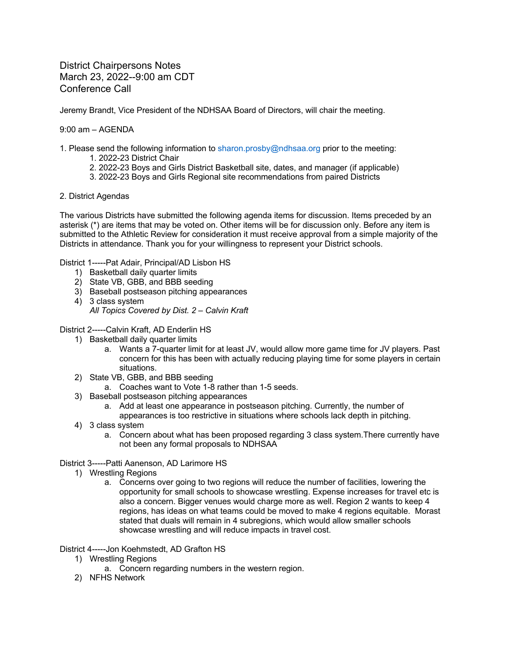District Chairpersons Notes March 23, 2022--9:00 am CDT Conference Call

Jeremy Brandt, Vice President of the NDHSAA Board of Directors, will chair the meeting.

9:00 am – AGENDA

- 1. Please send the following information to sharon.prosby@ndhsaa.org prior to the meeting:
	- 1. 2022-23 District Chair
	- 2. 2022-23 Boys and Girls District Basketball site, dates, and manager (if applicable)
	- 3. 2022-23 Boys and Girls Regional site recommendations from paired Districts
- 2. District Agendas

The various Districts have submitted the following agenda items for discussion. Items preceded by an asterisk (\*) are items that may be voted on. Other items will be for discussion only. Before any item is submitted to the Athletic Review for consideration it must receive approval from a simple majority of the Districts in attendance. Thank you for your willingness to represent your District schools.

District 1-----Pat Adair, Principal/AD Lisbon HS

- 1) Basketball daily quarter limits
- 2) State VB, GBB, and BBB seeding
- 3) Baseball postseason pitching appearances
- 4) 3 class system *All Topics Covered by Dist. 2 – Calvin Kraft*

## District 2-----Calvin Kraft, AD Enderlin HS

- 1) Basketball daily quarter limits
	- a. Wants a 7-quarter limit for at least JV, would allow more game time for JV players. Past concern for this has been with actually reducing playing time for some players in certain situations.
- 2) State VB, GBB, and BBB seeding
	- a. Coaches want to Vote 1-8 rather than 1-5 seeds.
- 3) Baseball postseason pitching appearances
	- a. Add at least one appearance in postseason pitching. Currently, the number of appearances is too restrictive in situations where schools lack depth in pitching.
- 4) 3 class system
	- a. Concern about what has been proposed regarding 3 class system.There currently have not been any formal proposals to NDHSAA

## District 3-----Patti Aanenson, AD Larimore HS

- 1) Wrestling Regions
	- a. Concerns over going to two regions will reduce the number of facilities, lowering the opportunity for small schools to showcase wrestling. Expense increases for travel etc is also a concern. Bigger venues would charge more as well. Region 2 wants to keep 4 regions, has ideas on what teams could be moved to make 4 regions equitable. Morast stated that duals will remain in 4 subregions, which would allow smaller schools showcase wrestling and will reduce impacts in travel cost.

## District 4-----Jon Koehmstedt, AD Grafton HS

- 1) Wrestling Regions
	- a. Concern regarding numbers in the western region.
- 2) NFHS Network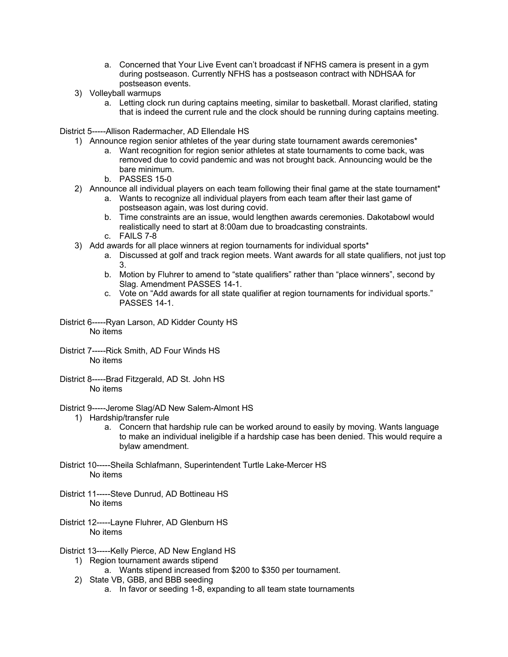- a. Concerned that Your Live Event can't broadcast if NFHS camera is present in a gym during postseason. Currently NFHS has a postseason contract with NDHSAA for postseason events.
- 3) Volleyball warmups
	- a. Letting clock run during captains meeting, similar to basketball. Morast clarified, stating that is indeed the current rule and the clock should be running during captains meeting.

District 5-----Allison Radermacher, AD Ellendale HS

- 1) Announce region senior athletes of the year during state tournament awards ceremonies\*
	- a. Want recognition for region senior athletes at state tournaments to come back, was removed due to covid pandemic and was not brought back. Announcing would be the bare minimum.
	- b. PASSES 15-0
- 2) Announce all individual players on each team following their final game at the state tournament\*
	- a. Wants to recognize all individual players from each team after their last game of postseason again, was lost during covid.
		- b. Time constraints are an issue, would lengthen awards ceremonies. Dakotabowl would realistically need to start at 8:00am due to broadcasting constraints.
		- c. FAILS 7-8
- 3) Add awards for all place winners at region tournaments for individual sports\*
	- a. Discussed at golf and track region meets. Want awards for all state qualifiers, not just top 3.
	- b. Motion by Fluhrer to amend to "state qualifiers" rather than "place winners", second by Slag. Amendment PASSES 14-1.
	- c. Vote on "Add awards for all state qualifier at region tournaments for individual sports." PASSES 14-1.
- District 6-----Ryan Larson, AD Kidder County HS No items
- District 7-----Rick Smith, AD Four Winds HS No items
- District 8-----Brad Fitzgerald, AD St. John HS No items
- District 9-----Jerome Slag/AD New Salem-Almont HS
	- 1) Hardship/transfer rule
		- a. Concern that hardship rule can be worked around to easily by moving. Wants language to make an individual ineligible if a hardship case has been denied. This would require a bylaw amendment.
- District 10-----Sheila Schlafmann, Superintendent Turtle Lake-Mercer HS No items
- District 11-----Steve Dunrud, AD Bottineau HS No items
- District 12-----Layne Fluhrer, AD Glenburn HS No items
- District 13-----Kelly Pierce, AD New England HS
	- 1) Region tournament awards stipend
		- a. Wants stipend increased from \$200 to \$350 per tournament.
	- 2) State VB, GBB, and BBB seeding
		- a. In favor or seeding 1-8, expanding to all team state tournaments